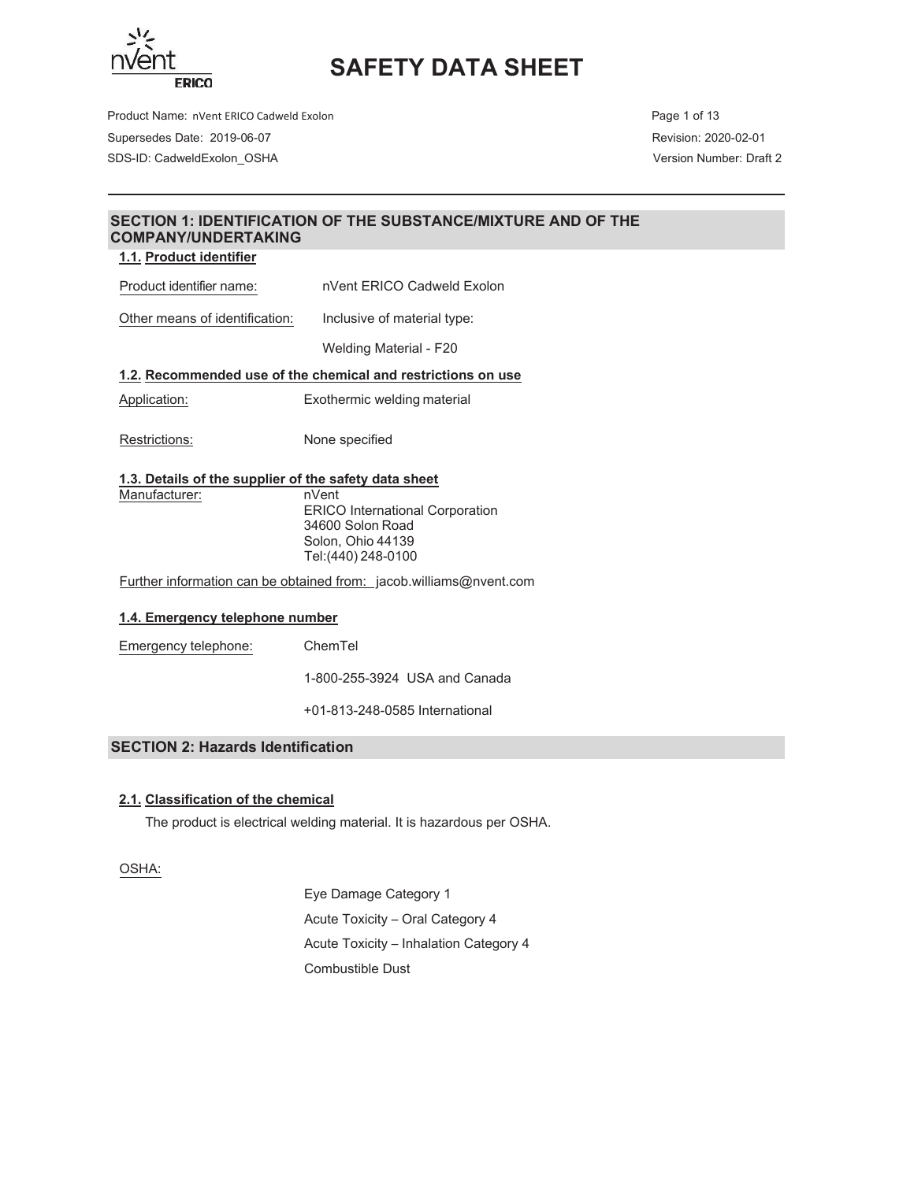

Product Name: nVent ERICO Cadweld Exolon **Page 1 of 13** Page 1 of 13 Supersedes Date: 2019-06-07 Revision: 2020-02-01 SDS-ID: CadweldExolon\_OSHA Version Number: Draft 2

## **SECTION 1: IDENTIFICATION OF THE SUBSTANCE/MIXTURE AND OF THE COMPANY/UNDERTAKING**

#### **1.1. Product identifier**

Product identifier name: nVent ERICO Cadweld Exolon

Other means of identification: Inclusive of material type:

Welding Material - F20

### **1.2. Recommended use of the chemical and restrictions on use**

- Application: Exothermic welding material
- Restrictions: None specified

#### **1.3. Details of the supplier of the safety data sheet**

Manufacturer: nVent ERICO International Corporation 34600 Solon Road Solon, Ohio 44139 Tel:(440) 248-0100

Further information can be obtained from: jacob.williams@nvent.com

#### **1.4. Emergency telephone number**

Emergency telephone: ChemTel

800-255-3924 USA and Canada

813-248-0585 International

#### **SECTION 2: Hazards Identification**

### **2.1. Classification of the chemical**

The product is electrical welding material. It is hazardous per OSHA.

OSHA:

Eye Damage Category 1 Acute Toxicity - Oral Category 4 Acute Toxicity - Inhalation Category 4 Combustible Dust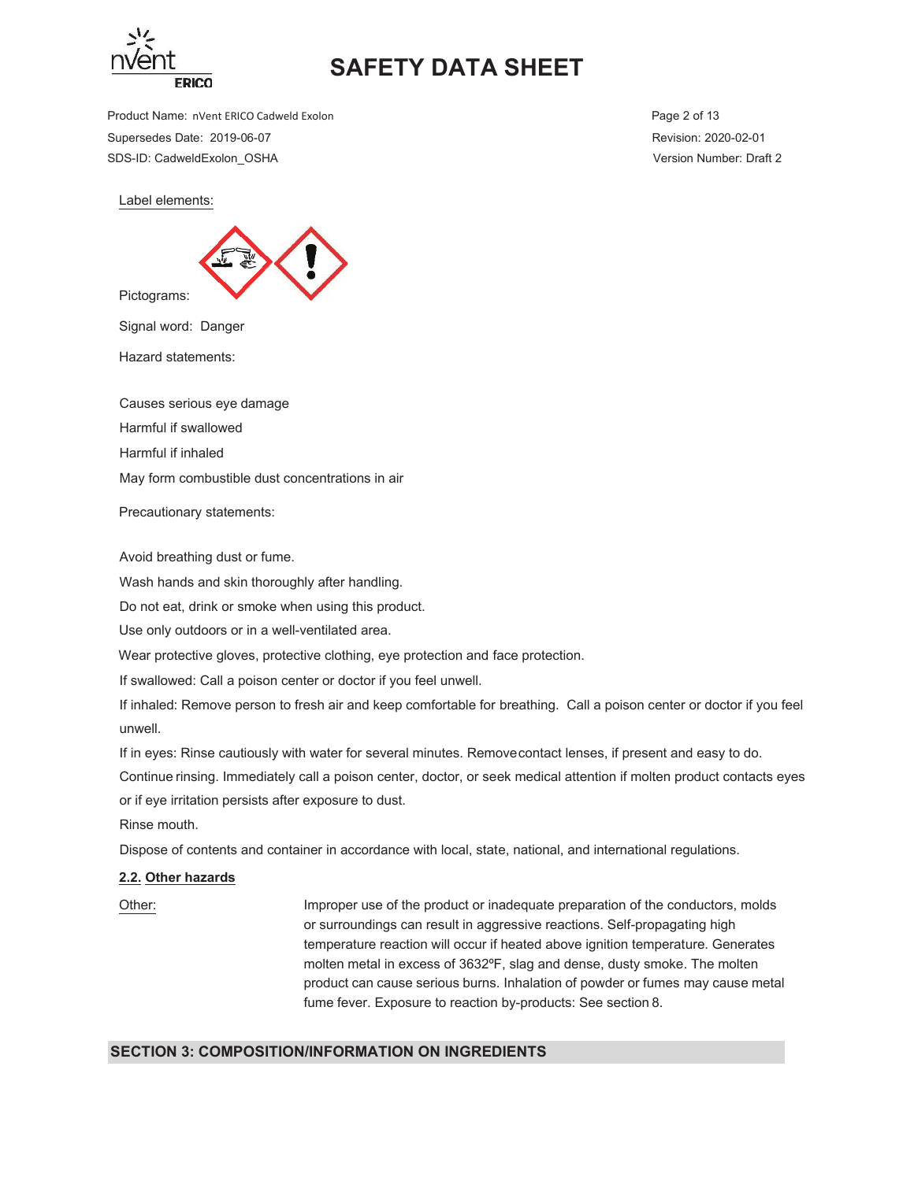

Product Name: nVent ERICO Cadweld Exolon **Page 2 of 13** Page 2 of 13 Supersedes Date: 2019-06-07 Revision: 2020-02-01 SDS-ID: CadweldExolon\_OSHA Version Number: Draft 2

Label elements:



Signal word: Danger

Hazard statements:

Causes serious eye damage

Harmful if swallowed

Harmful if inhaled

May form combustible dust concentrations in air

Precautionary statements:

Avoid breathing dust or fume.

Wash hands and skin thoroughly after handling.

Do not eat, drink or smoke when using this product.

Use only outdoors or in a well-ventilated area.

Wear protective gloves, protective clothing, eye protection and face protection.

If swallowed: Call a poison center or doctor if you feel unwell.

If inhaled: Remove person to fresh air and keep comfortable for breathing. Call a poison center or doctor if you feel unwell.

If in eyes: Rinse cautiously with water for several minutes. Remove contact lenses, if present and easy to do. Continue rinsing. Immediately call a poison center, doctor, or seek medical attention if molten product contacts eyes or if eye irritation persists after exposure to dust.

Rinse mouth.

Dispose of contents and container in accordance with local, state, national, and international regulations.

#### **2.2. Other hazards**

20 Other: https://www.filmproper.use.of.the.product.or.inadequate.preparation.org/the.conductors.molds or surroundings can result in aggressive reactions. Self-propagating high temperature reaction will occur if heated above ignition temperature. Generates molten metal in excess of 3632°F, slag and dense, dusty smoke. The molten product can cause serious burns. Inhalation of powder or fumes may cause metal fume fever. Exposure to reaction by-products: See section 8.

#### **SECTION 3: COMPOSITION/INFORMATION ON INGREDIENTS**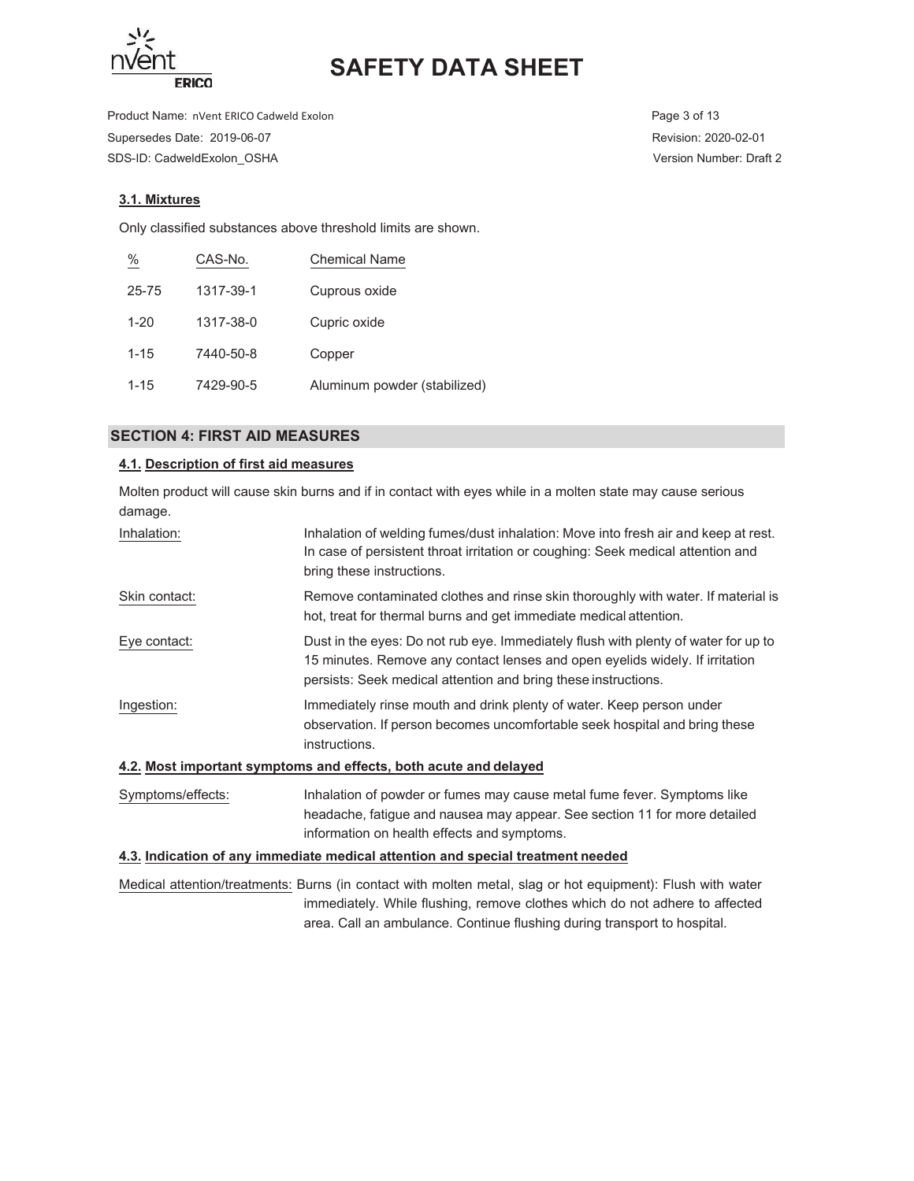

Product Name: nVent ERICO Cadweld Exolon **Page 3 of 13** Page 3 of 13 Supersedes Date: 2019-06-07 Revision: 2020-02-01 SDS-ID: CadweldExolon\_OSHA Version Number: Draft 2

## **3.1. Mixtures**

Only classified substances above threshold limits are shown.

| $\frac{\%}{\frac{1}{2}}$ | CAS-No.   | <b>Chemical Name</b>         |
|--------------------------|-----------|------------------------------|
| 25-75                    | 1317-39-1 | Cuprous oxide                |
| $1 - 20$                 | 1317-38-0 | Cupric oxide                 |
| $1 - 15$                 | 7440-50-8 | Copper                       |
| $1 - 15$                 | 7429-90-5 | Aluminum powder (stabilized) |

### **SECTION 4: FIRST AID MEASURES**

## **4.1. Description of first aid measures**

Molten product will cause skin burns and if in contact with eyes while in a molten state may cause serious damage.

| Inhalation:       | Inhalation of welding fumes/dust inhalation: Move into fresh air and keep at rest.<br>In case of persistent throat irritation or coughing: Seek medical attention and<br>bring these instructions.                                   |
|-------------------|--------------------------------------------------------------------------------------------------------------------------------------------------------------------------------------------------------------------------------------|
| Skin contact:     | Remove contaminated clothes and rinse skin thoroughly with water. If material is<br>hot, treat for thermal burns and get immediate medical attention.                                                                                |
| Eye contact:      | Dust in the eyes: Do not rub eye. Immediately flush with plenty of water for up to<br>15 minutes. Remove any contact lenses and open eyelids widely. If irritation<br>persists: Seek medical attention and bring these instructions. |
| Ingestion:        | Immediately rinse mouth and drink plenty of water. Keep person under<br>observation. If person becomes uncomfortable seek hospital and bring these<br>instructions.                                                                  |
|                   | 4.2. Most important symptoms and effects, both acute and delayed                                                                                                                                                                     |
| Symptoms/effects: | Inhalation of powder or fumes may cause metal fume fever. Symptoms like<br>headache, fatigue and nausea may appear. See section 11 for more detailed<br>information on health effects and symptoms.                                  |
|                   | .                                                                                                                                                                                                                                    |

#### **4.3. Indication of any immediate medical attention and special treatment needed**

Medical attention/treatments: Burns (in contact with molten metal, slag or hot equipment): Flush with water immediately. While flushing, remove clothes which do not adhere to affected area. Call an ambulance. Continue flushing during transport to hospital.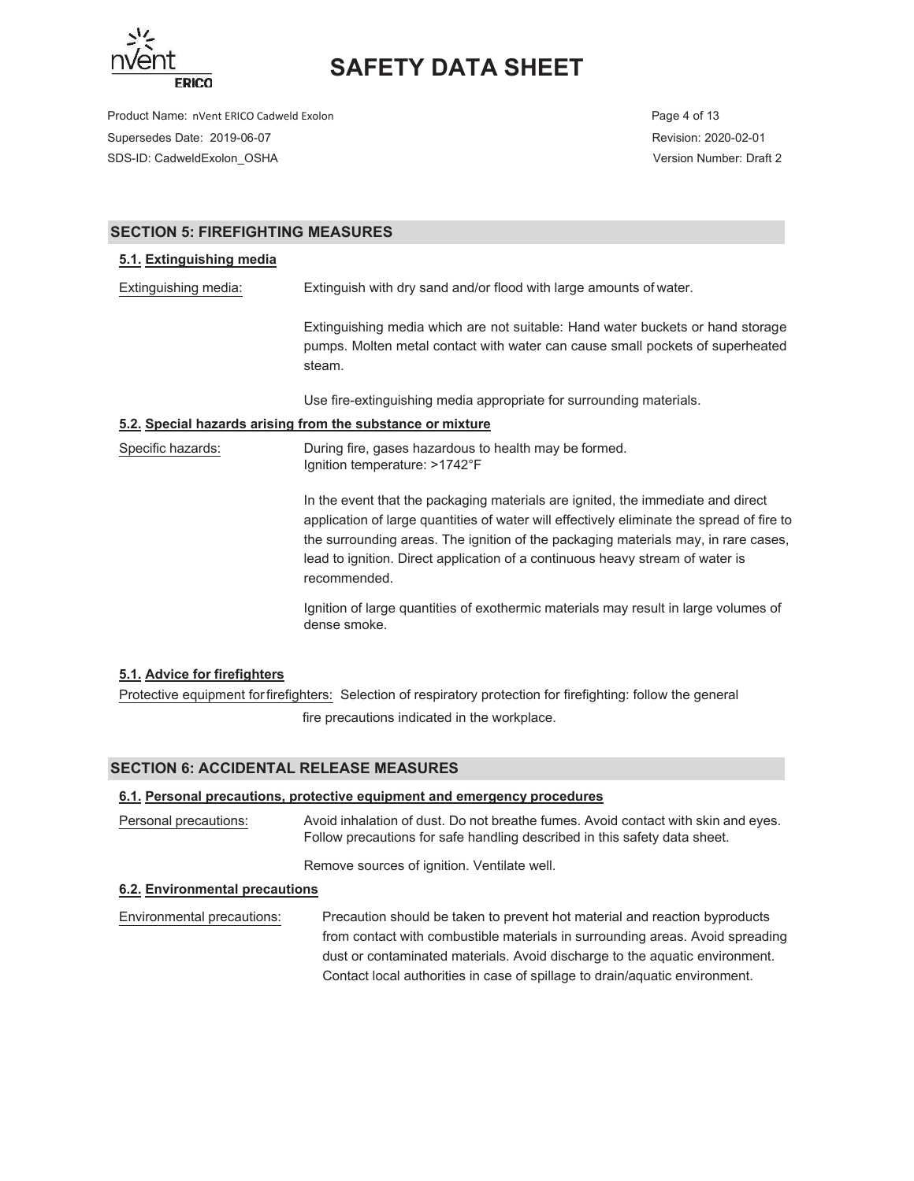

Product Name: nVent ERICO Cadweld Exolon **Page 4 of 13** Page 4 of 13 Supersedes Date: 2019-06-07 Revision: 2020-02-01 SDS-ID: CadweldExolon\_OSHA Version Number: Draft 2

## **SECTION 5: FIREFIGHTING MEASURES**

### **5.1. Extinguishing media**

Extinguishing media: Extinguish with dry sand and/or flood with large amounts of water.

Extinguishing media which are not suitable: Hand water buckets or hand storage pumps. Molten metal contact with water can cause small pockets of superheated steam.

Use fire-extinguishing media appropriate for surrounding materials.

### **5.2. Special hazards arising from the substance or mixture**

Specific hazards: During fire, gases hazardous to health may be formed. Ignition temperature: >1742°F

> In the event that the packaging materials are ignited, the immediate and direct application of large quantities of water will effectively eliminate the spread of fire to the surrounding areas. The ignition of the packaging materials may, in rare cases, lead to ignition. Direct application of a continuous heavy stream of water is recommended.

Ignition of large quantities of exothermic materials may result in large volumes of dense smoke.

### **5.1. Advice for firefighters**

Protective equipment for firefighters: Selection of respiratory protection for firefighting: follow the general fire precautions indicated in the workplace.

### **SECTION 6: ACCIDENTAL RELEASE MEASURES**

#### **6.1. Personal precautions, protective equipment and emergency procedures**

Personal precautions: Avoid inhalation of dust. Do not breathe fumes. Avoid contact with skin and eyes. Follow precautions for safe handling described in this safety data sheet.

Remove sources of ignition. Ventilate well.

#### **6.2. Environmental precautions**

Environmental precautions: Precaution should be taken to prevent hot material and reaction byproducts from contact with combustible materials in surrounding areas. Avoid spreading dust or contaminated materials. Avoid discharge to the aquatic environment. Contact local authorities in case of spillage to drain/aquatic environment.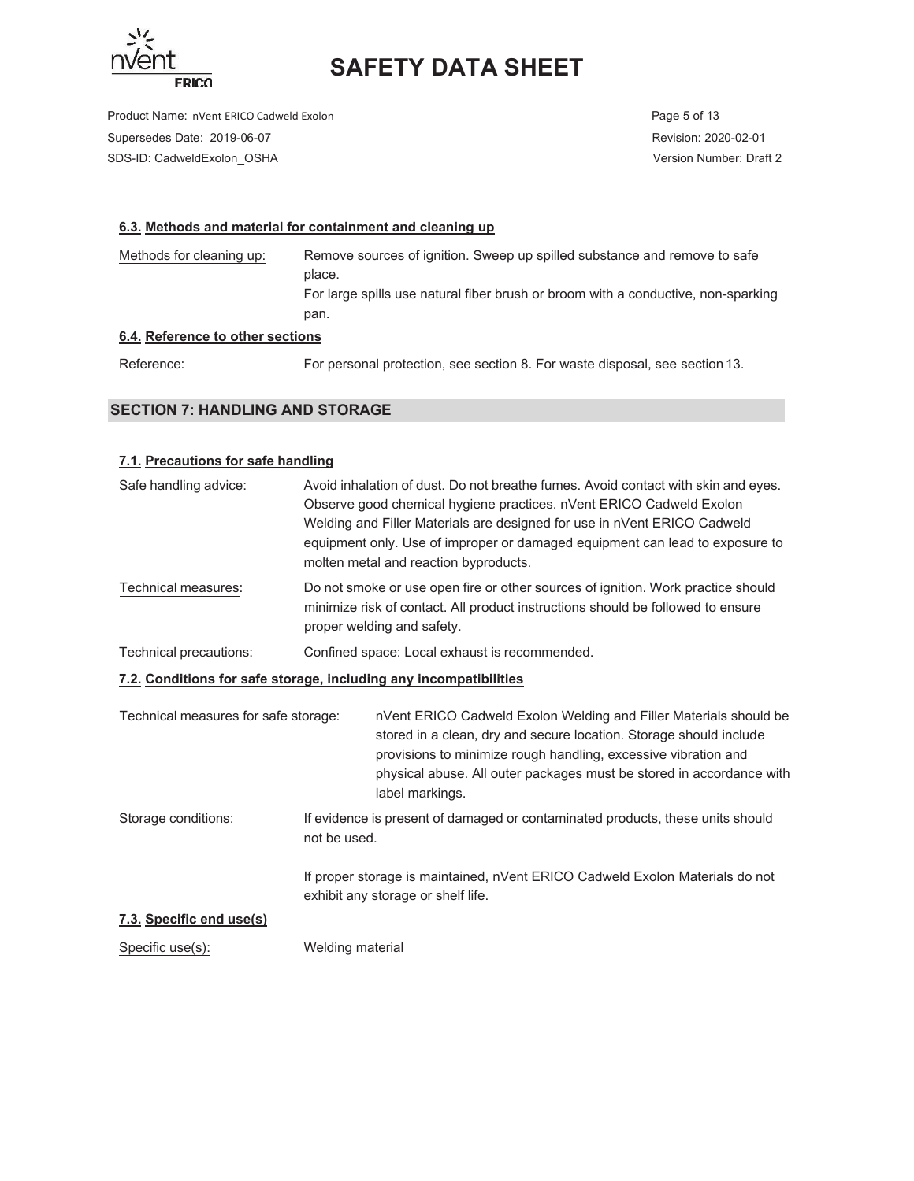

Product Name: nVent ERICO Cadweld Exolon **Page 5 of 13** Page 5 of 13 Supersedes Date: 2019-06-07 Revision: 2020-02-01 SDS-ID: CadweldExolon\_OSHA Version Number: Draft 2

### **6.3. Methods and material for containment and cleaning up**

Methods for cleaning up: Remove sources of ignition. Sweep up spilled substance and remove to safe place. For large spills use natural fiber brush or broom with a conductive, non-sparking pan.

## **6.4. Reference to other sections**

Reference: For personal protection, see section 8. For waste disposal, see section 13.

## **SECTION 7: HANDLING AND STORAGE**

### **7.1. Precautions for safe handling**

| Safe handling advice:                                             |              | Avoid inhalation of dust. Do not breathe fumes. Avoid contact with skin and eyes.<br>Observe good chemical hygiene practices. nVent ERICO Cadweld Exolon<br>Welding and Filler Materials are designed for use in nVent ERICO Cadweld<br>equipment only. Use of improper or damaged equipment can lead to exposure to<br>molten metal and reaction byproducts. |
|-------------------------------------------------------------------|--------------|---------------------------------------------------------------------------------------------------------------------------------------------------------------------------------------------------------------------------------------------------------------------------------------------------------------------------------------------------------------|
| Technical measures:                                               |              | Do not smoke or use open fire or other sources of ignition. Work practice should<br>minimize risk of contact. All product instructions should be followed to ensure<br>proper welding and safety.                                                                                                                                                             |
| Technical precautions:                                            |              | Confined space: Local exhaust is recommended.                                                                                                                                                                                                                                                                                                                 |
| 7.2. Conditions for safe storage, including any incompatibilities |              |                                                                                                                                                                                                                                                                                                                                                               |
| Technical measures for safe storage:                              |              | nVent ERICO Cadweld Exolon Welding and Filler Materials should be<br>stored in a clean, dry and secure location. Storage should include<br>provisions to minimize rough handling, excessive vibration and<br>physical abuse. All outer packages must be stored in accordance with<br>label markings.                                                          |
| Storage conditions:                                               | not be used. | If evidence is present of damaged or contaminated products, these units should                                                                                                                                                                                                                                                                                |
|                                                                   |              | If proper storage is maintained, nVent ERICO Cadweld Exolon Materials do not<br>exhibit any storage or shelf life.                                                                                                                                                                                                                                            |

## **7.3. Specific end use(s)**

Specific use(s): Welding material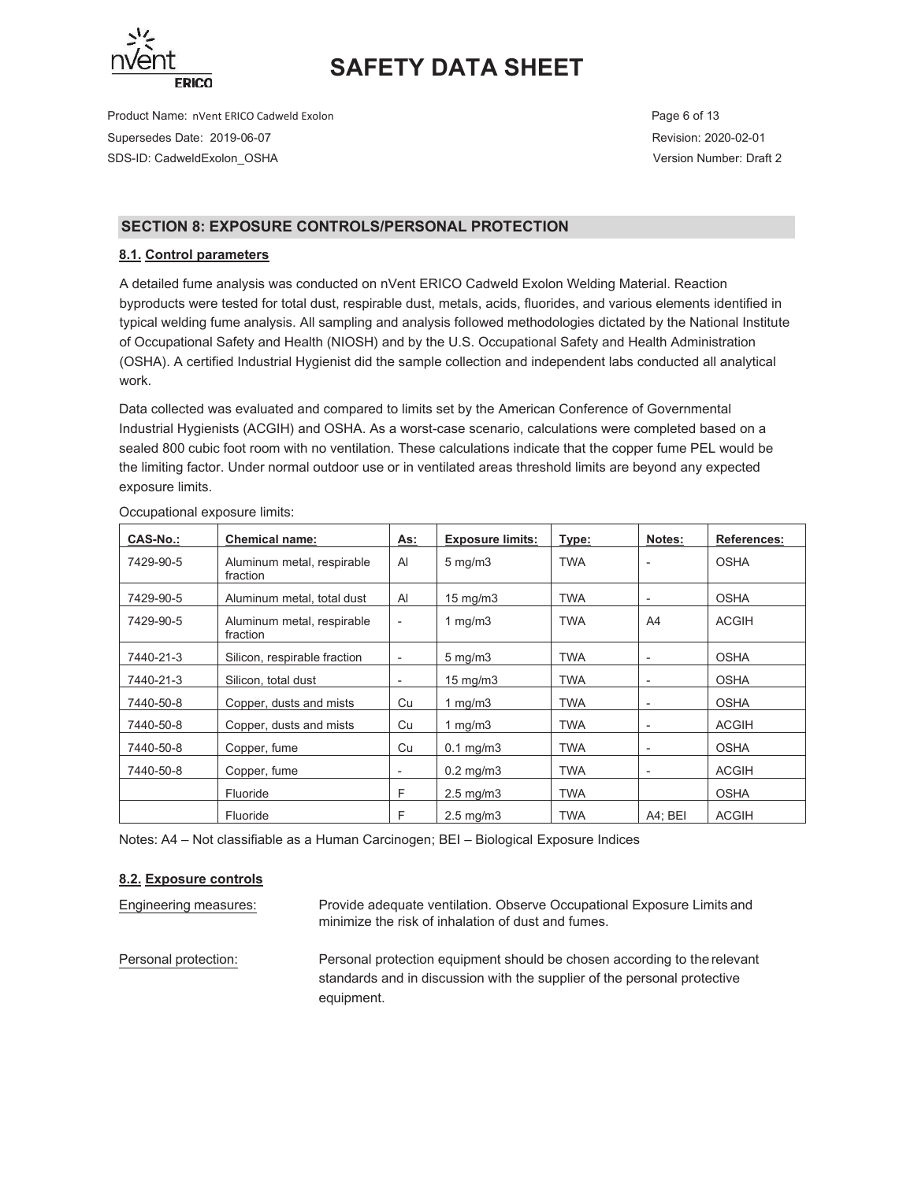

Product Name: nVent ERICO Cadweld Exolon **Page 6 of 13** Page 6 of 13 Supersedes Date: 2019-06-07 Revision: 2020-02-01 SDS-ID: CadweldExolon\_OSHA Version Number: Draft 2

## **SECTION 8: EXPOSURE CONTROLS/PERSONAL PROTECTION**

## **8.1. Control parameters**

A detailed fume analysis was conducted on nVent ERICO Cadweld Exolon Welding Material. Reaction byproducts were tested for total dust, respirable dust, metals, acids, fluorides, and various elements identified in typical welding fume analysis. All sampling and analysis followed methodologies dictated by the National Institute of Occupational Safety and Health (NIOSH) and by the U.S. Occupational Safety and Health Administration (OSHA). A certified Industrial Hygienist did the sample collection and independent labs conducted all analytical work.

Data collected was evaluated and compared to limits set by the American Conference of Governmental Industrial Hygienists (ACGIH) and OSHA. As a worst-case scenario, calculations were completed based on a sealed 800 cubic foot room with no ventilation. These calculations indicate that the copper fume PEL would be the limiting factor. Under normal outdoor use or in ventilated areas threshold limits are beyond any expected exposure limits.

| <b>CAS-No.:</b> | <b>Chemical name:</b>                  | As:                      | <b>Exposure limits:</b> | Type:      | Notes:                   | References:  |
|-----------------|----------------------------------------|--------------------------|-------------------------|------------|--------------------------|--------------|
| 7429-90-5       | Aluminum metal, respirable<br>fraction | AI                       | $5 \text{ mg/m}$        | <b>TWA</b> |                          | <b>OSHA</b>  |
| 7429-90-5       | Aluminum metal, total dust             | Al                       | 15 mg/m $3$             | <b>TWA</b> | $\blacksquare$           | <b>OSHA</b>  |
| 7429-90-5       | Aluminum metal, respirable<br>fraction | $\overline{\phantom{a}}$ | 1 mg/m $3$              | <b>TWA</b> | A4                       | <b>ACGIH</b> |
| 7440-21-3       | Silicon, respirable fraction           | $\overline{\phantom{a}}$ | $5 \text{ mg/m}$        | <b>TWA</b> | $\overline{\phantom{a}}$ | <b>OSHA</b>  |
| 7440-21-3       | Silicon, total dust                    | $\overline{\phantom{a}}$ | 15 mg/m $3$             | <b>TWA</b> | $\overline{\phantom{a}}$ | <b>OSHA</b>  |
| 7440-50-8       | Copper, dusts and mists                | Cu                       | 1 mg/m $3$              | <b>TWA</b> | $\blacksquare$           | <b>OSHA</b>  |
| 7440-50-8       | Copper, dusts and mists                | Cu                       | 1 mg/m $3$              | <b>TWA</b> | $\overline{\phantom{a}}$ | <b>ACGIH</b> |
| 7440-50-8       | Copper, fume                           | Cu                       | $0.1$ mg/m $3$          | <b>TWA</b> | $\overline{\phantom{a}}$ | <b>OSHA</b>  |
| 7440-50-8       | Copper, fume                           | $\overline{\phantom{a}}$ | $0.2 \text{ mg/m}$ 3    | <b>TWA</b> | $\overline{\phantom{a}}$ | <b>ACGIH</b> |
|                 | Fluoride                               | F                        | $2.5 \text{ mg/m}$      | <b>TWA</b> |                          | <b>OSHA</b>  |
|                 | Fluoride                               | F                        | $2.5 \text{ mg/m}$      | <b>TWA</b> | $A4$ ; BEI               | <b>ACGIH</b> |

Occupational exposure limits:

Notes: A4 – Not classifiable as a Human Carcinogen; BEI – Biological Exposure Indices

### **8.2. Exposure controls**

Engineering measures: The Provide adequate ventilation. Observe Occupational Exposure Limits and minimize the risk of inhalation of dust and fumes. Personal protection: Personal protection equipment should be chosen according to the relevant standards and in discussion with the supplier of the personal protective equipment.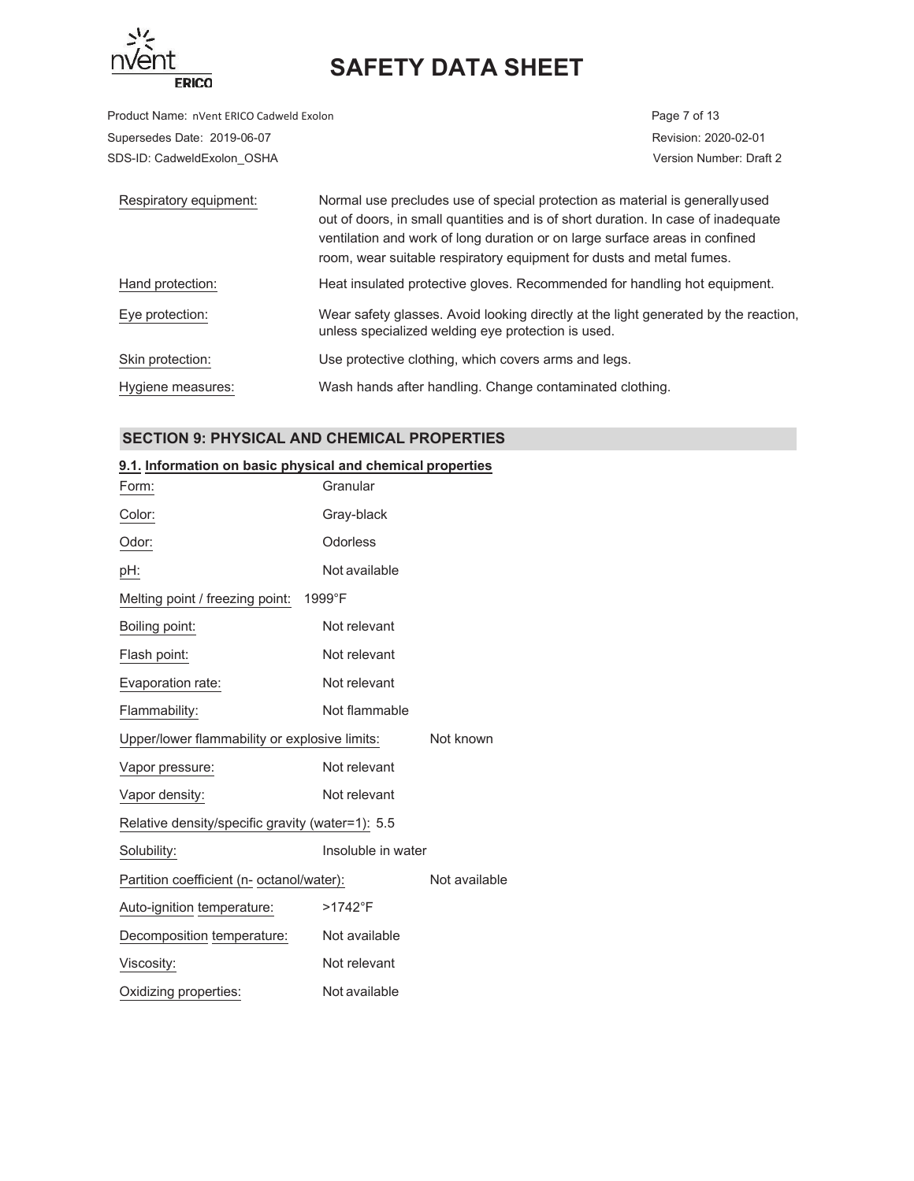

Product Name: nVent ERICO Cadweld Exolon **Page 7** of 13 Supersedes Date: 2019-06-07 Revision: 2020-02-01 SDS-ID: CadweldExolon\_OSHA Version Number: Draft 2

| Respiratory equipment: | Normal use precludes use of special protection as material is generally used<br>out of doors, in small quantities and is of short duration. In case of inadequate<br>ventilation and work of long duration or on large surface areas in confined<br>room, wear suitable respiratory equipment for dusts and metal fumes. |
|------------------------|--------------------------------------------------------------------------------------------------------------------------------------------------------------------------------------------------------------------------------------------------------------------------------------------------------------------------|
| Hand protection:       | Heat insulated protective gloves. Recommended for handling hot equipment.                                                                                                                                                                                                                                                |
| Eye protection:        | Wear safety glasses. Avoid looking directly at the light generated by the reaction,<br>unless specialized welding eye protection is used.                                                                                                                                                                                |
| Skin protection:       | Use protective clothing, which covers arms and legs.                                                                                                                                                                                                                                                                     |
| Hygiene measures:      | Wash hands after handling. Change contaminated clothing.                                                                                                                                                                                                                                                                 |

## **SECTION 9: PHYSICAL AND CHEMICAL PROPERTIES**

### **9.1. Information on basic physical and chemical properties**

| Form:                                            | Granular           |               |
|--------------------------------------------------|--------------------|---------------|
| Color:                                           | Gray-black         |               |
| Odor:                                            | Odorless           |               |
| pH:                                              | Not available      |               |
| Melting point / freezing point:                  | 1999°F             |               |
| Boiling point:                                   | Not relevant       |               |
| Flash point:                                     | Not relevant       |               |
| Evaporation rate:                                | Not relevant       |               |
| Flammability:                                    | Not flammable      |               |
| Upper/lower flammability or explosive limits:    |                    | Not known     |
| Vapor pressure:                                  | Not relevant       |               |
| Vapor density:                                   | Not relevant       |               |
| Relative density/specific gravity (water=1): 5.5 |                    |               |
| Solubility:                                      | Insoluble in water |               |
| Partition coefficient (n- octanol/water):        |                    | Not available |
| Auto-ignition temperature:                       | $>1742$ °F         |               |
| Decomposition temperature:                       | Not available      |               |
| Viscosity:                                       | Not relevant       |               |
| Oxidizing properties:                            | Not available      |               |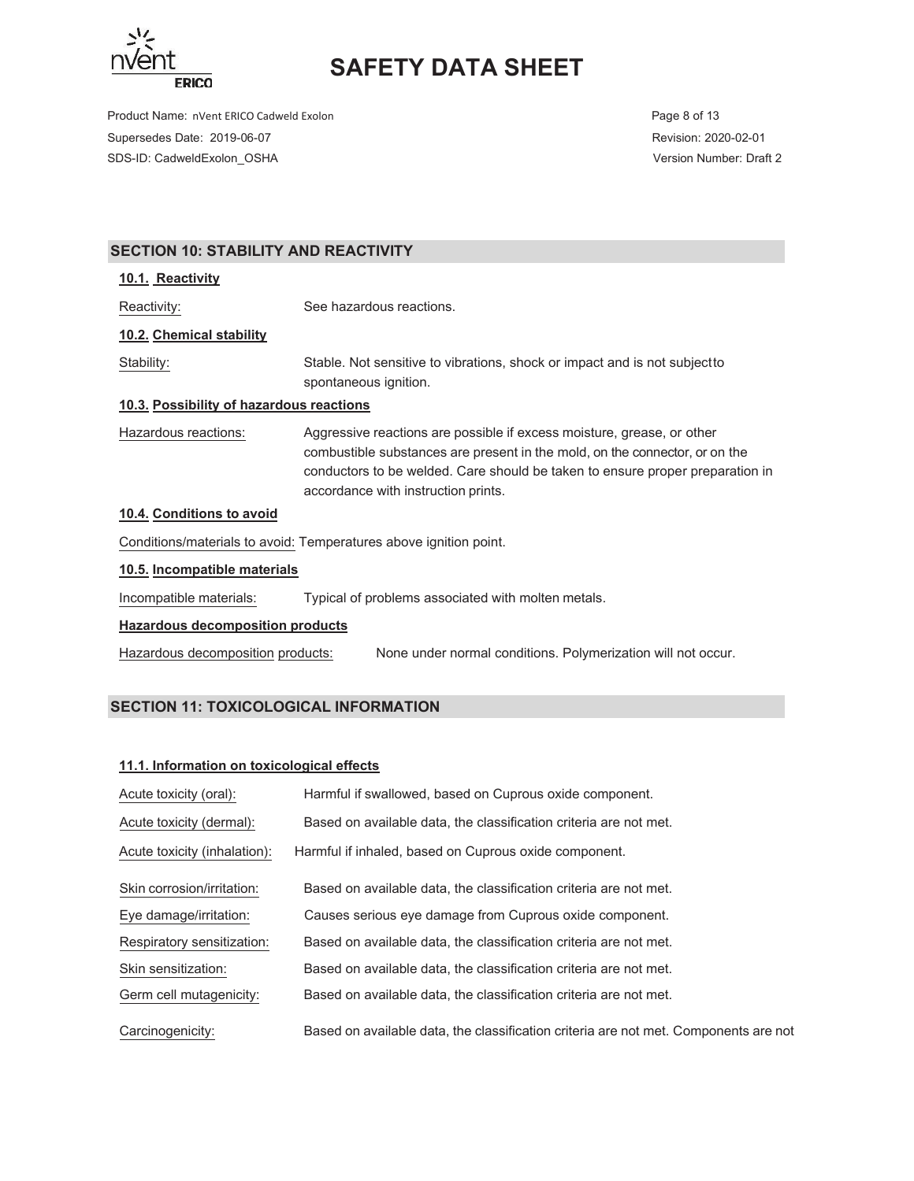

Product Name: nVent ERICO Cadweld Exolon **Page 8 of 13** Page 8 of 13 Supersedes Date: 2019-06-07 Revision: 2020-02-01 SDS-ID: CadweldExolon\_OSHA Version Number: Draft 2

## **SECTION 10: STABILITY AND REACTIVITY**

#### **10.1. Reactivity**

Reactivity: See hazardous reactions.

### **10.2. Chemical stability**

Stability: Stable. Not sensitive to vibrations, shock or impact and is not subject to spontaneous ignition.

### **10.3. Possibility of hazardous reactions**

Hazardous reactions: Aggressive reactions are possible if excess moisture, grease, or other combustible substances are present in the mold, on the connector, or on the conductors to be welded. Care should be taken to ensure proper preparation in accordance with instruction prints.

### **10.4. Conditions to avoid**

Conditions/materials to avoid: Temperatures above ignition point.

### **10.5. Incompatible materials**

Incompatible materials: Typical of problems associated with molten metals.

#### **Hazardous decomposition products**

Hazardous decomposition products: 1800 None under normal conditions. Polymerization will not occur.

## **SECTION 11: TOXICOLOGICAL INFORMATION**

#### **11.1. Information on toxicological effects**

| Acute toxicity (oral):       | Harmful if swallowed, based on Cuprous oxide component.                              |
|------------------------------|--------------------------------------------------------------------------------------|
| Acute toxicity (dermal):     | Based on available data, the classification criteria are not met.                    |
| Acute toxicity (inhalation): | Harmful if inhaled, based on Cuprous oxide component.                                |
| Skin corrosion/irritation:   | Based on available data, the classification criteria are not met.                    |
| Eye damage/irritation:       | Causes serious eye damage from Cuprous oxide component.                              |
| Respiratory sensitization:   | Based on available data, the classification criteria are not met.                    |
| Skin sensitization:          | Based on available data, the classification criteria are not met.                    |
| Germ cell mutagenicity:      | Based on available data, the classification criteria are not met.                    |
| Carcinogenicity:             | Based on available data, the classification criteria are not met. Components are not |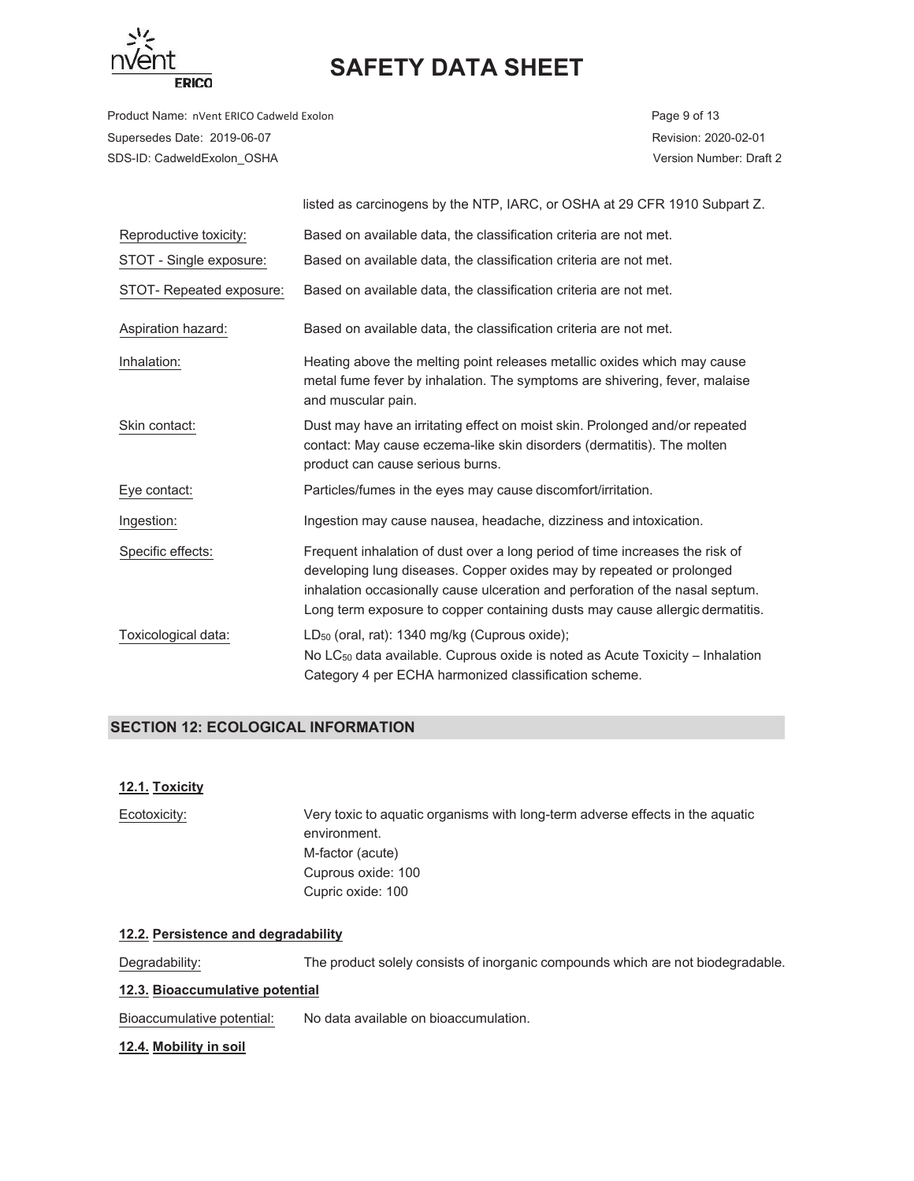

Product Name: nVent ERICO Cadweld Exolon **Page 9 of 13** Page 9 of 13 Supersedes Date: 2019-06-07 Revision: 2020-02-01 SDS-ID: CadweldExolon\_OSHA Version Number: Draft 2

|                          | listed as carcinogens by the NTP, IARC, or OSHA at 29 CFR 1910 Subpart Z.                                                                                                                                                                                                                                             |
|--------------------------|-----------------------------------------------------------------------------------------------------------------------------------------------------------------------------------------------------------------------------------------------------------------------------------------------------------------------|
| Reproductive toxicity:   | Based on available data, the classification criteria are not met.                                                                                                                                                                                                                                                     |
| STOT - Single exposure:  | Based on available data, the classification criteria are not met.                                                                                                                                                                                                                                                     |
| STOT- Repeated exposure: | Based on available data, the classification criteria are not met.                                                                                                                                                                                                                                                     |
| Aspiration hazard:       | Based on available data, the classification criteria are not met.                                                                                                                                                                                                                                                     |
| Inhalation:              | Heating above the melting point releases metallic oxides which may cause<br>metal fume fever by inhalation. The symptoms are shivering, fever, malaise<br>and muscular pain.                                                                                                                                          |
| Skin contact:            | Dust may have an irritating effect on moist skin. Prolonged and/or repeated<br>contact: May cause eczema-like skin disorders (dermatitis). The molten<br>product can cause serious burns.                                                                                                                             |
| Eye contact:             | Particles/fumes in the eyes may cause discomfort/irritation.                                                                                                                                                                                                                                                          |
| Ingestion:               | Ingestion may cause nausea, headache, dizziness and intoxication.                                                                                                                                                                                                                                                     |
| Specific effects:        | Frequent inhalation of dust over a long period of time increases the risk of<br>developing lung diseases. Copper oxides may by repeated or prolonged<br>inhalation occasionally cause ulceration and perforation of the nasal septum.<br>Long term exposure to copper containing dusts may cause allergic dermatitis. |
| Toxicological data:      | LD <sub>50</sub> (oral, rat): 1340 mg/kg (Cuprous oxide);<br>No LC <sub>50</sub> data available. Cuprous oxide is noted as Acute Toxicity – Inhalation<br>Category 4 per ECHA harmonized classification scheme.                                                                                                       |

## **SECTION 12: ECOLOGICAL INFORMATION**

### **12.1. Toxicity**

| Ecotoxicity: | Very toxic to aquatic organisms with long-term adverse effects in the aquatic |
|--------------|-------------------------------------------------------------------------------|
|              | environment.                                                                  |
|              | M-factor (acute)                                                              |
|              | Cuprous oxide: 100                                                            |
|              | Cupric oxide: 100                                                             |
|              |                                                                               |

## **12.2. Persistence and degradability**

Degradability: The product solely consists of inorganic compounds which are not biodegradable.

### **12.3. Bioaccumulative potential**

Bioaccumulative potential: No data available on bioaccumulation.

#### **12.4. Mobility in soil**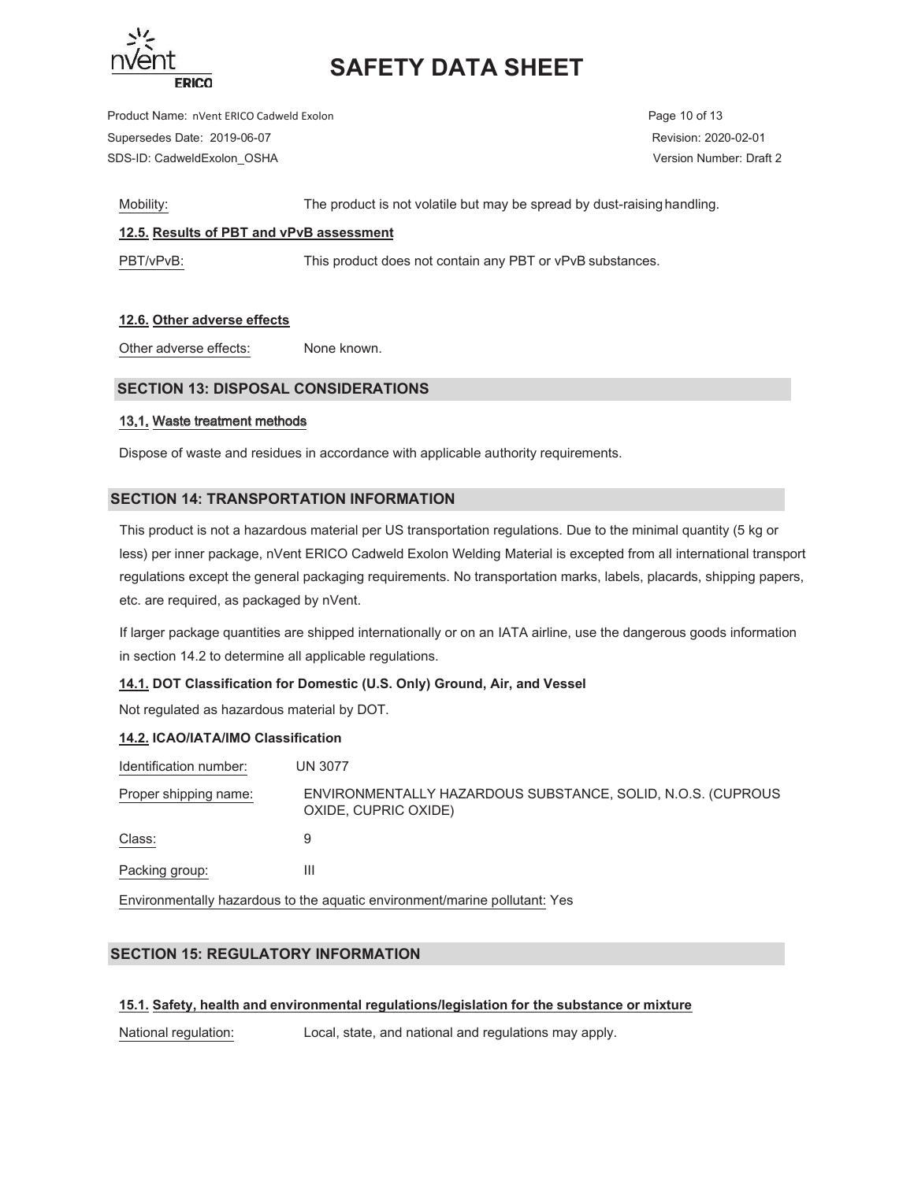

Product Name: nVent ERICO Cadweld Exolon **Page 10** of 13 Supersedes Date: 2019-06-07 Revision: 2020-02-01 SDS-ID: CadweldExolon\_OSHA Version Number: Draft 2

Mobility: The product is not volatile but may be spread by dust-raising handling.

## **12.5. Results of PBT and vPvB assessment**

PBT/vPvB: This product does not contain any PBT or vPvB substances.

## **12.6. Other adverse effects**

Other adverse effects: None known.

## **SECTION 13: DISPOSAL CONSIDERATIONS**

### 13.1. Waste treatment methods

Dispose of waste and residues in accordance with applicable authority requirements.

### **SECTION 14: TRANSPORTATION INFORMATION**

This product is not a hazardous material per US transportation regulations. Due to the minimal quantity (5 kg or less) per inner package, nVent ERICO Cadweld Exolon Welding Material is excepted from all international transport regulations except the general packaging requirements. No transportation marks, labels, placards, shipping papers, etc. are required, as packaged by nVent.

If larger package quantities are shipped internationally or on an IATA airline, use the dangerous goods information in section 14.2 to determine all applicable regulations.

### **14.1. DOT Classification for Domestic (U.S. Only) Ground, Air, and Vessel**

Not regulated as hazardous material by DOT.

### **14.2. ICAO/IATA/IMO Classification**

| Identification number: | <b>UN 3077</b>                                                                      |
|------------------------|-------------------------------------------------------------------------------------|
| Proper shipping name:  | ENVIRONMENTALLY HAZARDOUS SUBSTANCE, SOLID, N.O.S. (CUPROUS<br>OXIDE, CUPRIC OXIDE) |
| Class:                 | 9                                                                                   |
| Packing group:         | Ш                                                                                   |
|                        |                                                                                     |

Environmentally hazardous to the aquatic environment/marine pollutant: Yes

## **SECTION 15: REGULATORY INFORMATION**

### **15.1. Safety, health and environmental regulations/legislation for the substance or mixture**

National regulation: Local, state, and national and regulations may apply.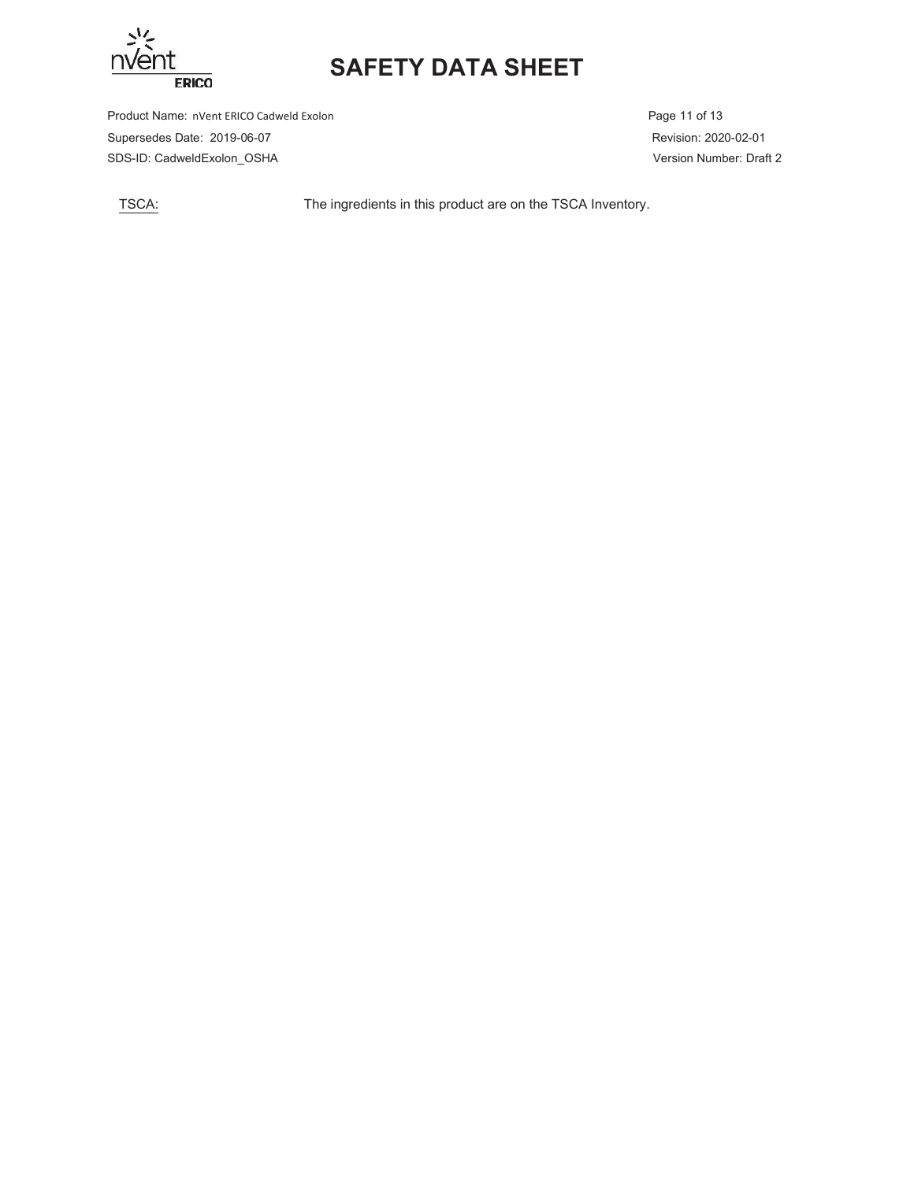

Product Name: nVent ERICO Cadweld Exolon **Page 11 of 13** Page 11 of 13 Supersedes Date: 2019-06-07 Revision: 2020-02-01 SDS-ID: CadweldExolon\_OSHA Version Number: Draft 2

TSCA: The ingredients in this product are on the TSCA Inventory.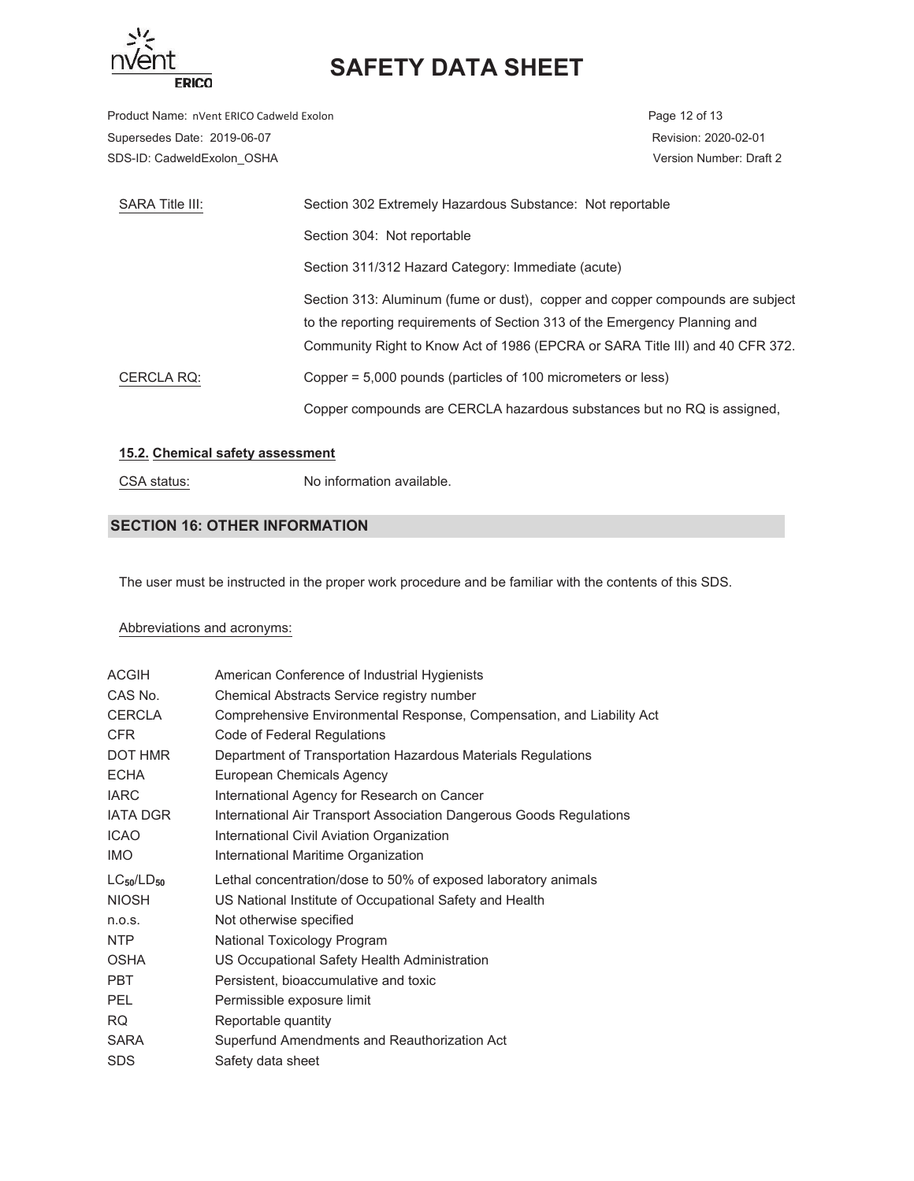

Product Name: nVent ERICO Cadweld Exolon **Page 12 of 13** Page 12 of 13 Supersedes Date: 2019-06-07 Revision: 2020-02-01 SDS-ID: CadweldExolon\_OSHA version Number: Draft 2

| SARA Title III: | Section 302 Extremely Hazardous Substance: Not reportable                     |
|-----------------|-------------------------------------------------------------------------------|
|                 | Section 304: Not reportable                                                   |
|                 | Section 311/312 Hazard Category: Immediate (acute)                            |
|                 | Section 313: Aluminum (fume or dust), copper and copper compounds are subject |
|                 | to the reporting requirements of Section 313 of the Emergency Planning and    |
|                 | Community Right to Know Act of 1986 (EPCRA or SARA Title III) and 40 CFR 372. |
| CERCLA RQ:      | Copper = 5,000 pounds (particles of 100 micrometers or less)                  |
|                 | Copper compounds are CERCLA hazardous substances but no RQ is assigned.       |

### **15.2. Chemical safety assessment**

CSA status: No information available.

## **SECTION 16: OTHER INFORMATION**

The user must be instructed in the proper work procedure and be familiar with the contents of this SDS.

### Abbreviations and acronyms:

| <b>ACGIH</b>      | American Conference of Industrial Hygienists                          |
|-------------------|-----------------------------------------------------------------------|
| CAS No.           | Chemical Abstracts Service registry number                            |
| <b>CERCLA</b>     | Comprehensive Environmental Response, Compensation, and Liability Act |
| <b>CFR</b>        | Code of Federal Regulations                                           |
| DOT HMR           | Department of Transportation Hazardous Materials Regulations          |
| <b>ECHA</b>       | European Chemicals Agency                                             |
| <b>IARC</b>       | International Agency for Research on Cancer                           |
| <b>IATA DGR</b>   | International Air Transport Association Dangerous Goods Regulations   |
| <b>ICAO</b>       | International Civil Aviation Organization                             |
| IMO.              | International Maritime Organization                                   |
|                   |                                                                       |
| $LC_{50}/LD_{50}$ | Lethal concentration/dose to 50% of exposed laboratory animals        |
| <b>NIOSH</b>      | US National Institute of Occupational Safety and Health               |
| n.o.s.            | Not otherwise specified                                               |
| NTP               | National Toxicology Program                                           |
| <b>OSHA</b>       | US Occupational Safety Health Administration                          |
| <b>PBT</b>        | Persistent, bioaccumulative and toxic                                 |
| <b>PEL</b>        | Permissible exposure limit                                            |
| <b>RQ</b>         | Reportable quantity                                                   |
| <b>SARA</b>       | Superfund Amendments and Reauthorization Act                          |